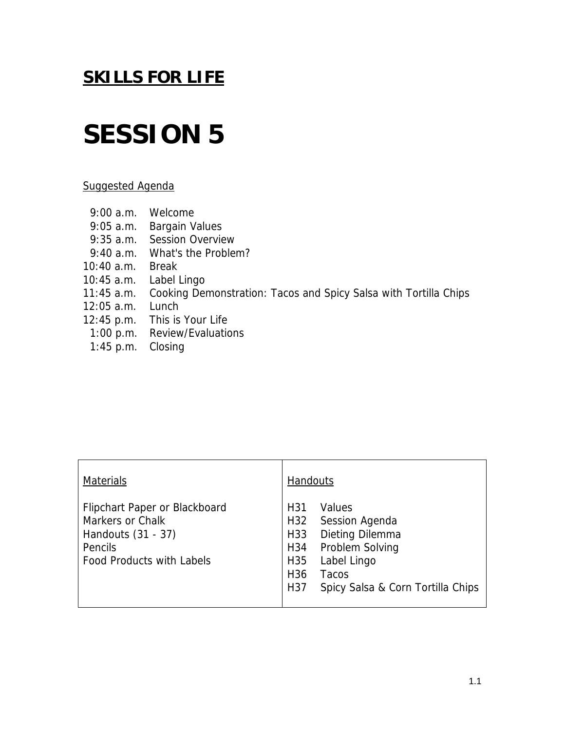### **SESSION 5**

#### Suggested Agenda

| $9:00$ a.m. | Welcome |
|-------------|---------|
|             |         |

- 9:05 a.m. Bargain Values
- 9:35 a.m. Session Overview
- 9:40 a.m. What's the Problem?
- 10:40 a.m. Break
- 10:45 a.m. Label Lingo
- 11:45 a.m. Cooking Demonstration: Tacos and Spicy Salsa with Tortilla Chips
- 12:05 a.m. Lunch
- 12:45 p.m. This is Your Life
- 1:00 p.m. Review/Evaluations
- 1:45 p.m. Closing

| <b>Materials</b>                                                                                                              | Handouts                                                                                                                                                                                                                                                                |  |  |  |
|-------------------------------------------------------------------------------------------------------------------------------|-------------------------------------------------------------------------------------------------------------------------------------------------------------------------------------------------------------------------------------------------------------------------|--|--|--|
| Flipchart Paper or Blackboard<br><b>Markers or Chalk</b><br>Handouts (31 - 37)<br>Pencils<br><b>Food Products with Labels</b> | H <sub>31</sub><br>Values<br>H <sub>32</sub><br>Session Agenda<br>Dieting Dilemma<br>H <sub>33</sub><br><b>Problem Solving</b><br>H <sub>34</sub><br>H <sub>35</sub><br>Label Lingo<br>H <sub>36</sub><br>Tacos<br>H <sub>37</sub><br>Spicy Salsa & Corn Tortilla Chips |  |  |  |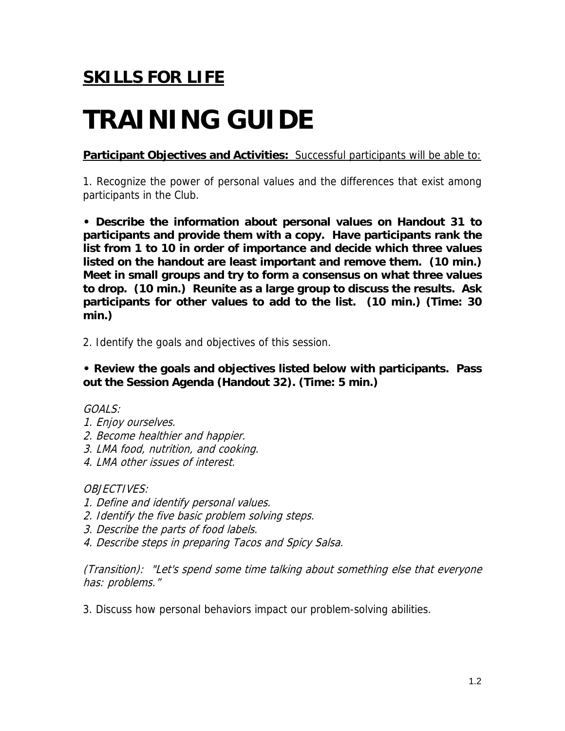# **TRAINING GUIDE**

**Participant Objectives and Activities:** Successful participants will be able to:

1. Recognize the power of personal values and the differences that exist among participants in the Club.

**• Describe the information about personal values on Handout 31 to participants and provide them with a copy. Have participants rank the list from 1 to 10 in order of importance and decide which three values listed on the handout are least important and remove them. (10 min.) Meet in small groups and try to form a consensus on what three values to drop. (10 min.) Reunite as a large group to discuss the results. Ask participants for other values to add to the list. (10 min.) (Time: 30 min.)** 

2. Identify the goals and objectives of this session.

**• Review the goals and objectives listed below with participants. Pass out the Session Agenda (Handout 32). (Time: 5 min.)** 

#### $GOAI$  S:

- 1. Enjoy ourselves.
- 2. Become healthier and happier.
- 3. LMA food, nutrition, and cooking.
- 4. LMA other issues of interest.

#### OBJECTIVES:

- 1. Define and identify personal values.
- 2. Identify the five basic problem solving steps.
- 3. Describe the parts of food labels.
- 4. Describe steps in preparing Tacos and Spicy Salsa.

(Transition): "Let's spend some time talking about something else that everyone has: problems."

3. Discuss how personal behaviors impact our problem-solving abilities.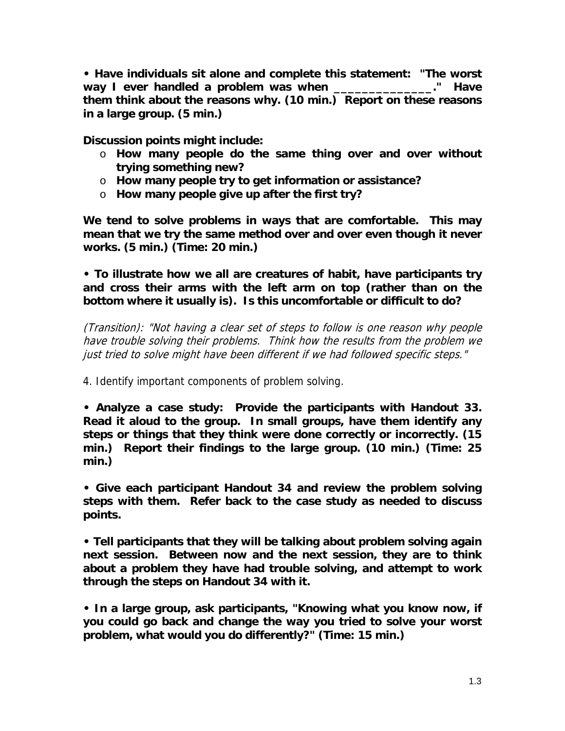**• Have individuals sit alone and complete this statement: "The worst way I ever handled a problem was when \_\_\_\_\_\_\_\_\_\_\_\_\_\_." Have them think about the reasons why. (10 min.) Report on these reasons in a large group. (5 min.)** 

**Discussion points might include:** 

- o **How many people do the same thing over and over without trying something new?**
- o **How many people try to get information or assistance?**
- o **How many people give up after the first try?**

**We tend to solve problems in ways that are comfortable. This may mean that we try the same method over and over even though it never works. (5 min.) (Time: 20 min.)** 

**• To illustrate how we all are creatures of habit, have participants try and cross their arms with the left arm on top (rather than on the bottom where it usually is). Is this uncomfortable or difficult to do?** 

(Transition): "Not having a clear set of steps to follow is one reason why people have trouble solving their problems. Think how the results from the problem we just tried to solve might have been different if we had followed specific steps."

4. Identify important components of problem solving.

**• Analyze a case study: Provide the participants with Handout 33. Read it aloud to the group. In small groups, have them identify any steps or things that they think were done correctly or incorrectly. (15 min.) Report their findings to the large group. (10 min.) (Time: 25 min.)** 

**• Give each participant Handout 34 and review the problem solving steps with them. Refer back to the case study as needed to discuss points.** 

**• Tell participants that they will be talking about problem solving again next session. Between now and the next session, they are to think about a problem they have had trouble solving, and attempt to work through the steps on Handout 34 with it.** 

**• In a large group, ask participants, "Knowing what you know now, if you could go back and change the way you tried to solve your worst problem, what would you do differently?" (Time: 15 min.)**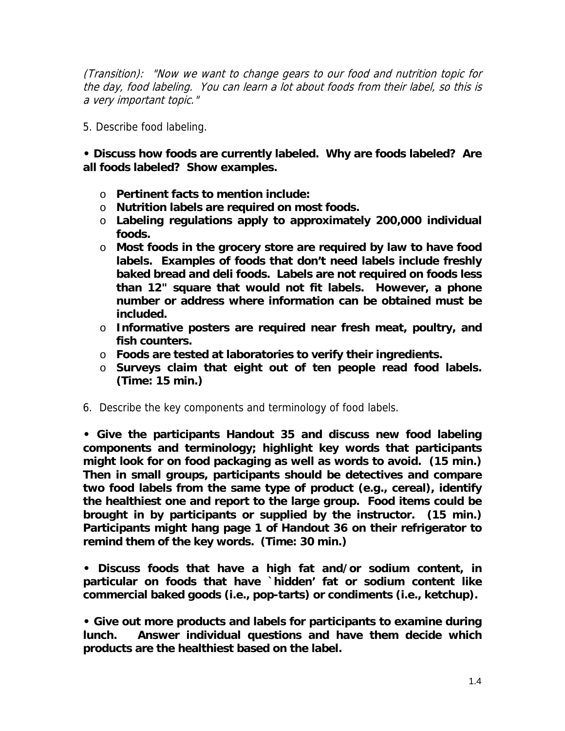(Transition): "Now we want to change gears to our food and nutrition topic for the day, food labeling. You can learn a lot about foods from their label, so this is a very important topic."

5. Describe food labeling.

**• Discuss how foods are currently labeled. Why are foods labeled? Are all foods labeled? Show examples.** 

- o **Pertinent facts to mention include:**
- o **Nutrition labels are required on most foods.**
- o **Labeling regulations apply to approximately 200,000 individual foods.**
- o **Most foods in the grocery store are required by law to have food labels. Examples of foods that don't need labels include freshly baked bread and deli foods. Labels are not required on foods less than 12" square that would not fit labels. However, a phone number or address where information can be obtained must be included.**
- o **Informative posters are required near fresh meat, poultry, and fish counters.**
- o **Foods are tested at laboratories to verify their ingredients.**
- o **Surveys claim that eight out of ten people read food labels. (Time: 15 min.)**
- 6. Describe the key components and terminology of food labels.

**• Give the participants Handout 35 and discuss new food labeling components and terminology; highlight key words that participants might look for on food packaging as well as words to avoid. (15 min.) Then in small groups, participants should be detectives and compare two food labels from the same type of product (e.g., cereal), identify the healthiest one and report to the large group. Food items could be brought in by participants or supplied by the instructor. (15 min.) Participants might hang page 1 of Handout 36 on their refrigerator to remind them of the key words. (Time: 30 min.)** 

**• Discuss foods that have a high fat and/or sodium content, in particular on foods that have `hidden' fat or sodium content like commercial baked goods (i.e., pop-tarts) or condiments (i.e., ketchup).** 

**• Give out more products and labels for participants to examine during lunch. Answer individual questions and have them decide which products are the healthiest based on the label.**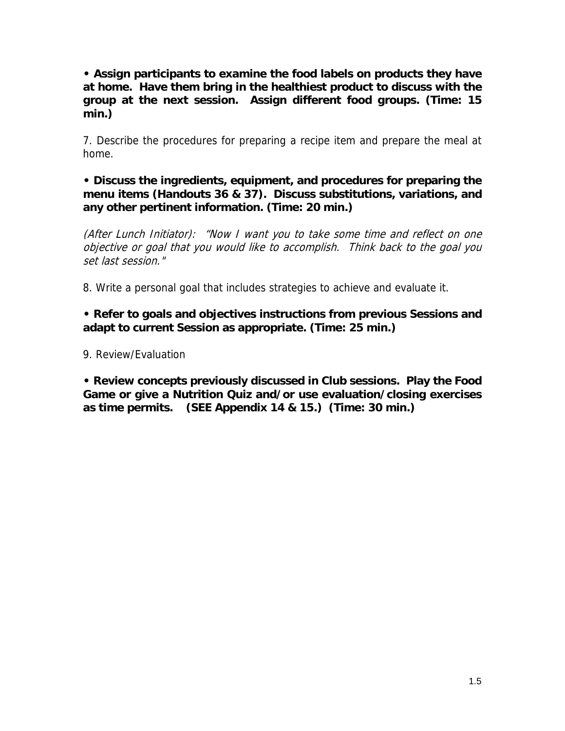**• Assign participants to examine the food labels on products they have at home. Have them bring in the healthiest product to discuss with the group at the next session. Assign different food groups. (Time: 15 min.)** 

7. Describe the procedures for preparing a recipe item and prepare the meal at home.

**• Discuss the ingredients, equipment, and procedures for preparing the menu items (Handouts 36 & 37). Discuss substitutions, variations, and any other pertinent information. (Time: 20 min.)** 

(After Lunch Initiator): "Now I want you to take some time and reflect on one objective or goal that you would like to accomplish. Think back to the goal you set last session."

8. Write a personal goal that includes strategies to achieve and evaluate it.

**• Refer to goals and objectives instructions from previous Sessions and adapt to current Session as appropriate. (Time: 25 min.)** 

9. Review/Evaluation

**• Review concepts previously discussed in Club sessions. Play the Food Game or give a Nutrition Quiz and/or use evaluation/closing exercises as time permits. (SEE Appendix 14 & 15.) (Time: 30 min.)**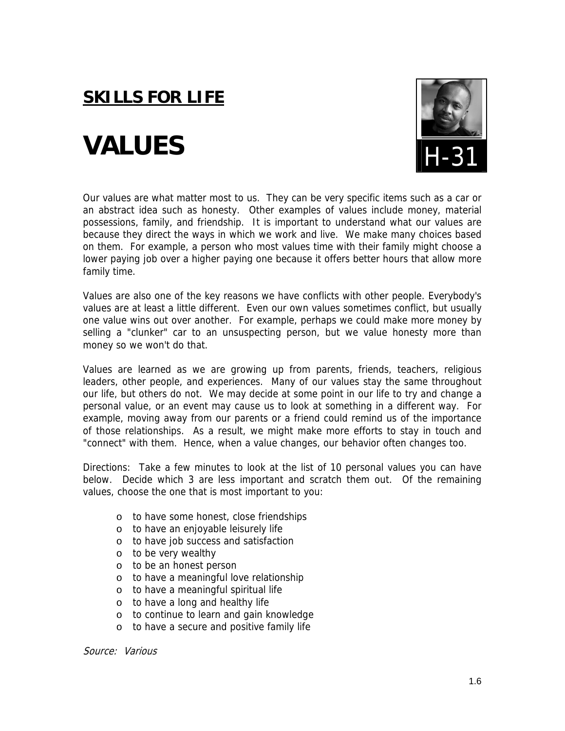# **VALUES**



Our values are what matter most to us. They can be very specific items such as a car or an abstract idea such as honesty. Other examples of values include money, material possessions, family, and friendship. It is important to understand what our values are because they direct the ways in which we work and live. We make many choices based on them. For example, a person who most values time with their family might choose a lower paying job over a higher paying one because it offers better hours that allow more family time.

Values are also one of the key reasons we have conflicts with other people. Everybody's values are at least a little different. Even our own values sometimes conflict, but usually one value wins out over another. For example, perhaps we could make more money by selling a "clunker" car to an unsuspecting person, but we value honesty more than money so we won't do that.

Values are learned as we are growing up from parents, friends, teachers, religious leaders, other people, and experiences. Many of our values stay the same throughout our life, but others do not. We may decide at some point in our life to try and change a personal value, or an event may cause us to look at something in a different way. For example, moving away from our parents or a friend could remind us of the importance of those relationships. As a result, we might make more efforts to stay in touch and "connect" with them. Hence, when a value changes, our behavior often changes too.

Directions: Take a few minutes to look at the list of 10 personal values you can have below. Decide which 3 are less important and scratch them out. Of the remaining values, choose the one that is most important to you:

- o to have some honest, close friendships
- o to have an enjoyable leisurely life
- o to have job success and satisfaction
- o to be very wealthy
- o to be an honest person
- o to have a meaningful love relationship
- o to have a meaningful spiritual life
- o to have a long and healthy life
- o to continue to learn and gain knowledge
- o to have a secure and positive family life

Source: Various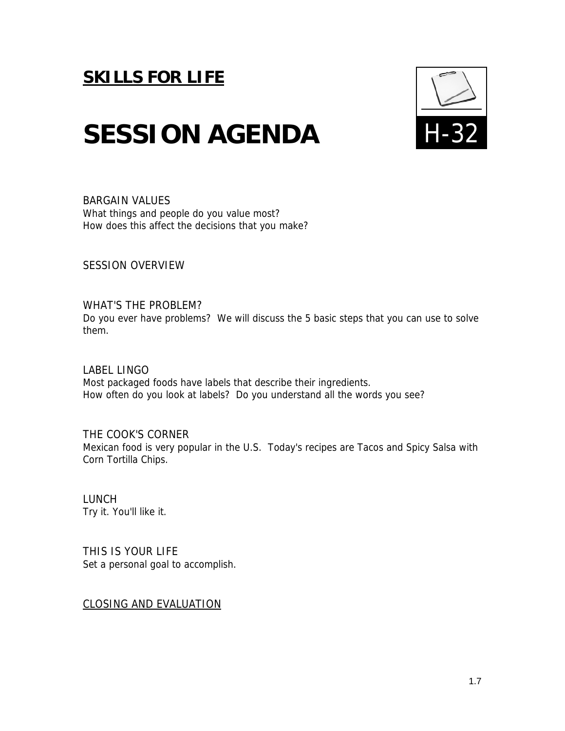# SESSION AGENDA **H-32**



BARGAIN VALUES What things and people do you value most? How does this affect the decisions that you make?

SESSION OVERVIEW

WHAT'S THE PROBLEM? Do you ever have problems? We will discuss the 5 basic steps that you can use to solve them.

LABEL LINGO Most packaged foods have labels that describe their ingredients. How often do you look at labels? Do you understand all the words you see?

THE COOK'S CORNER Mexican food is very popular in the U.S. Today's recipes are Tacos and Spicy Salsa with Corn Tortilla Chips.

LUNCH Try it. You'll like it.

THIS IS YOUR LIFE Set a personal goal to accomplish.

CLOSING AND EVALUATION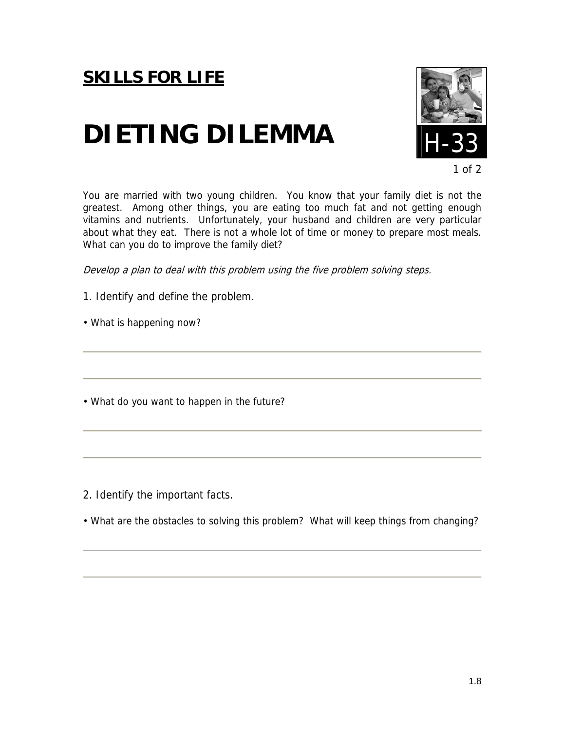# **DIETING DILEMMA**



1 of 2

You are married with two young children. You know that your family diet is not the greatest. Among other things, you are eating too much fat and not getting enough vitamins and nutrients. Unfortunately, your husband and children are very particular about what they eat. There is not a whole lot of time or money to prepare most meals. What can you do to improve the family diet?

Develop a plan to deal with this problem using the five problem solving steps.

1. Identify and define the problem.

• What is happening now?

• What do you want to happen in the future?

2. Identify the important facts.

• What are the obstacles to solving this problem? What will keep things from changing?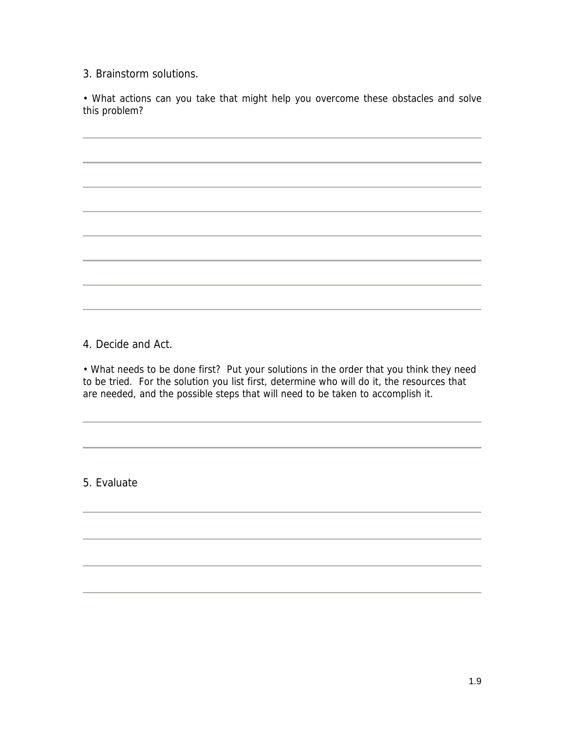3. Brainstorm solutions.

• What actions can you take that might help you overcome these obstacles and solve this problem?

4. Decide and Act.

• What needs to be done first? Put your solutions in the order that you think they need to be tried. For the solution you list first, determine who will do it, the resources that are needed, and the possible steps that will need to be taken to accomplish it.

5. Evaluate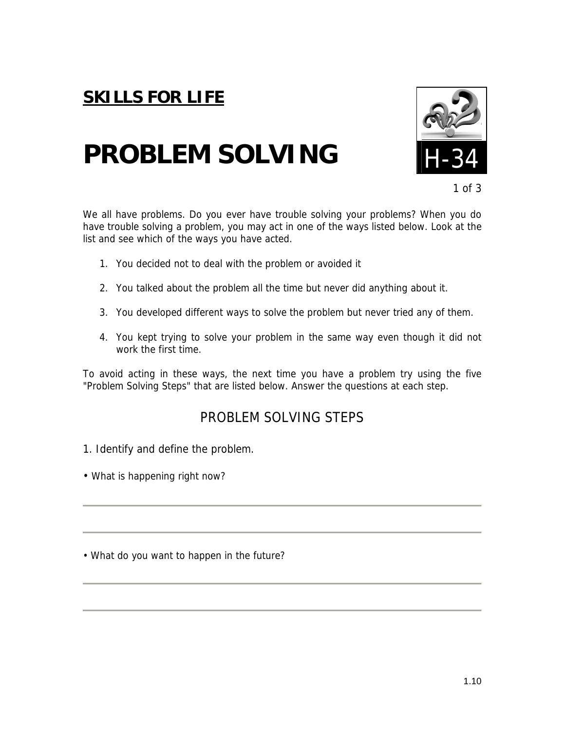# **PROBLEM SOLVING**



1 of 3

We all have problems. Do you ever have trouble solving your problems? When you do have trouble solving a problem, you may act in one of the ways listed below. Look at the list and see which of the ways you have acted.

- 1. You decided not to deal with the problem or avoided it
- 2. You talked about the problem all the time but never did anything about it.
- 3. You developed different ways to solve the problem but never tried any of them.
- 4. You kept trying to solve your problem in the same way even though it did not work the first time.

To avoid acting in these ways, the next time you have a problem try using the five "Problem Solving Steps" that are listed below. Answer the questions at each step.

#### PROBLEM SOLVING STEPS

1. Identify and define the problem.

• What is happening right now?

• What do you want to happen in the future?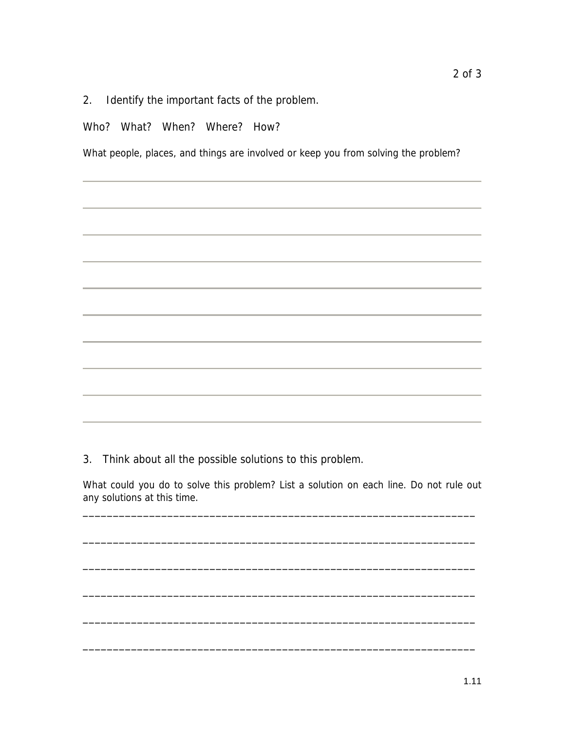2. Identify the important facts of the problem.

Who? What? When? Where? How?

What people, places, and things are involved or keep you from solving the problem?

3. Think about all the possible solutions to this problem.

What could you do to solve this problem? List a solution on each line. Do not rule out any solutions at this time.

\_\_\_\_\_\_\_\_\_\_\_\_\_\_\_\_\_\_\_\_\_\_\_\_\_\_\_\_\_\_\_\_\_\_\_\_\_\_\_\_\_\_\_\_\_\_\_\_\_\_\_\_\_\_\_\_\_\_\_\_\_\_\_\_\_

\_\_\_\_\_\_\_\_\_\_\_\_\_\_\_\_\_\_\_\_\_\_\_\_\_\_\_\_\_\_\_\_\_\_\_\_\_\_\_\_\_\_\_\_\_\_\_\_\_\_\_\_\_\_\_\_\_\_\_\_\_\_\_\_\_

\_\_\_\_\_\_\_\_\_\_\_\_\_\_\_\_\_\_\_\_\_\_\_\_\_\_\_\_\_\_\_\_\_\_\_\_\_\_\_\_\_\_\_\_\_\_\_\_\_\_\_\_\_\_\_\_\_\_\_\_\_\_\_\_\_

\_\_\_\_\_\_\_\_\_\_\_\_\_\_\_\_\_\_\_\_\_\_\_\_\_\_\_\_\_\_\_\_\_\_\_\_\_\_\_\_\_\_\_\_\_\_\_\_\_\_\_\_\_\_\_\_\_\_\_\_\_\_\_\_\_

\_\_\_\_\_\_\_\_\_\_\_\_\_\_\_\_\_\_\_\_\_\_\_\_\_\_\_\_\_\_\_\_\_\_\_\_\_\_\_\_\_\_\_\_\_\_\_\_\_\_\_\_\_\_\_\_\_\_\_\_\_\_\_\_\_

\_\_\_\_\_\_\_\_\_\_\_\_\_\_\_\_\_\_\_\_\_\_\_\_\_\_\_\_\_\_\_\_\_\_\_\_\_\_\_\_\_\_\_\_\_\_\_\_\_\_\_\_\_\_\_\_\_\_\_\_\_\_\_\_\_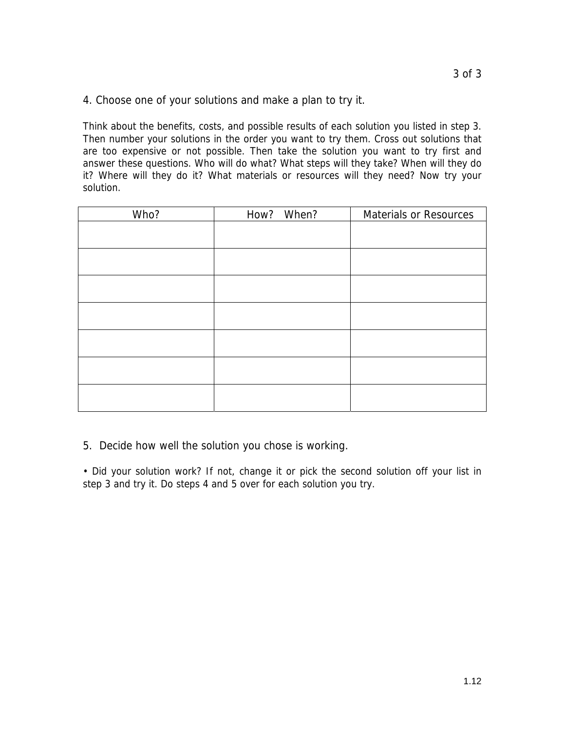4. Choose one of your solutions and make a plan to try it.

Think about the benefits, costs, and possible results of each solution you listed in step 3. Then number your solutions in the order you want to try them. Cross out solutions that are too expensive or not possible. Then take the solution you want to try first and answer these questions. Who will do what? What steps will they take? When will they do it? Where will they do it? What materials or resources will they need? Now try your solution.

| Who? | How? When? | Materials or Resources |
|------|------------|------------------------|
|      |            |                        |
|      |            |                        |
|      |            |                        |
|      |            |                        |
|      |            |                        |
|      |            |                        |
|      |            |                        |
|      |            |                        |

5. Decide how well the solution you chose is working.

• Did your solution work? If not, change it or pick the second solution off your list in step 3 and try it. Do steps 4 and 5 over for each solution you try.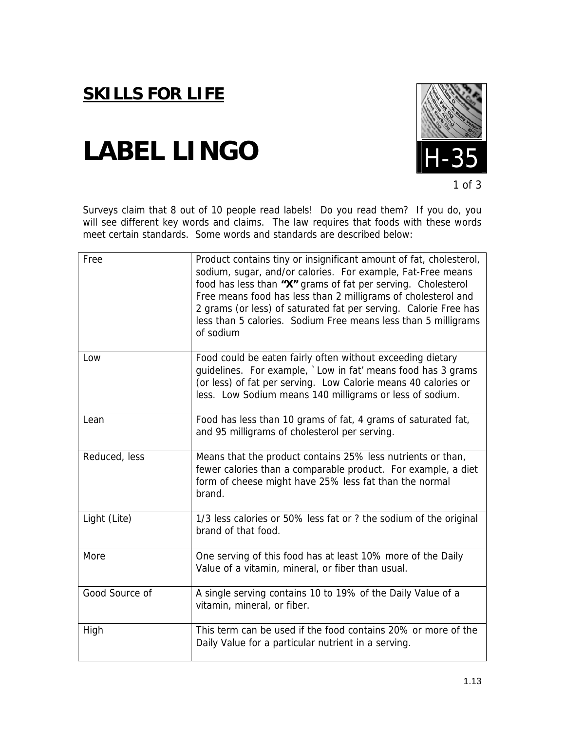# **LABEL LINGO** H-35



1 of 3

Surveys claim that 8 out of 10 people read labels! Do you read them? If you do, you will see different key words and claims. The law requires that foods with these words meet certain standards. Some words and standards are described below:

| Free           | Product contains tiny or insignificant amount of fat, cholesterol,<br>sodium, sugar, and/or calories. For example, Fat-Free means<br>food has less than "X" grams of fat per serving. Cholesterol<br>Free means food has less than 2 milligrams of cholesterol and<br>2 grams (or less) of saturated fat per serving. Calorie Free has<br>less than 5 calories. Sodium Free means less than 5 milligrams<br>of sodium |
|----------------|-----------------------------------------------------------------------------------------------------------------------------------------------------------------------------------------------------------------------------------------------------------------------------------------------------------------------------------------------------------------------------------------------------------------------|
| Low            | Food could be eaten fairly often without exceeding dietary<br>guidelines. For example, `Low in fat' means food has 3 grams<br>(or less) of fat per serving. Low Calorie means 40 calories or<br>less. Low Sodium means 140 milligrams or less of sodium.                                                                                                                                                              |
| Lean           | Food has less than 10 grams of fat, 4 grams of saturated fat,<br>and 95 milligrams of cholesterol per serving.                                                                                                                                                                                                                                                                                                        |
| Reduced, less  | Means that the product contains 25% less nutrients or than,<br>fewer calories than a comparable product. For example, a diet<br>form of cheese might have 25% less fat than the normal<br>brand.                                                                                                                                                                                                                      |
| Light (Lite)   | 1/3 less calories or 50% less fat or ? the sodium of the original<br>brand of that food.                                                                                                                                                                                                                                                                                                                              |
| More           | One serving of this food has at least 10% more of the Daily<br>Value of a vitamin, mineral, or fiber than usual.                                                                                                                                                                                                                                                                                                      |
| Good Source of | A single serving contains 10 to 19% of the Daily Value of a<br>vitamin, mineral, or fiber.                                                                                                                                                                                                                                                                                                                            |
| High           | This term can be used if the food contains 20% or more of the<br>Daily Value for a particular nutrient in a serving.                                                                                                                                                                                                                                                                                                  |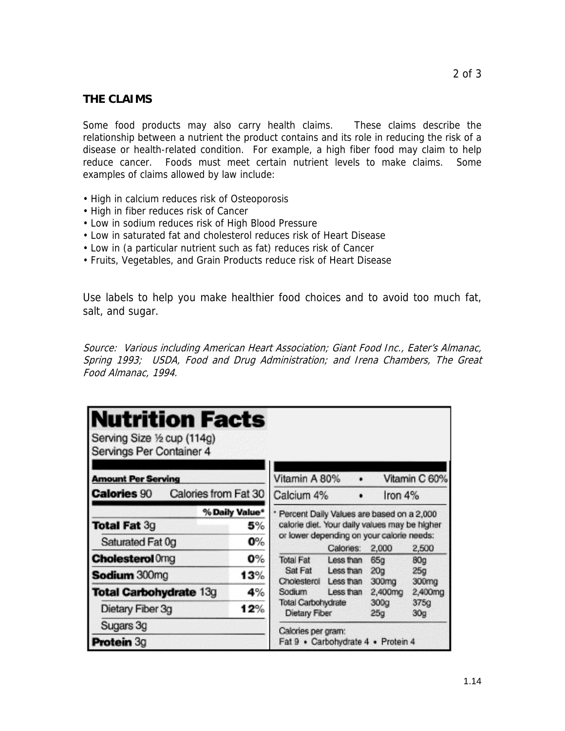#### **THE CLAIMS**

Some food products may also carry health claims. These claims describe the relationship between a nutrient the product contains and its role in reducing the risk of a disease or health-related condition. For example, a high fiber food may claim to help reduce cancer. Foods must meet certain nutrient levels to make claims. Some examples of claims allowed by law include:

- High in calcium reduces risk of Osteoporosis
- High in fiber reduces risk of Cancer
- Low in sodium reduces risk of High Blood Pressure
- Low in saturated fat and cholesterol reduces risk of Heart Disease
- Low in (a particular nutrient such as fat) reduces risk of Cancer
- Fruits, Vegetables, and Grain Products reduce risk of Heart Disease

Use labels to help you make healthier food choices and to avoid too much fat, salt, and sugar.

Source: Various including American Heart Association; Giant Food Inc., Eater's Almanac, Spring 1993; USDA, Food and Drug Administration; and Irena Chambers, The Great Food Almanac, 1994.

| Nutrition Facts<br>Serving Size 1/2 cup (114g)<br>Servings Per Container 4 |                |                                                                                                                           |                   |                                     |                                     |  |
|----------------------------------------------------------------------------|----------------|---------------------------------------------------------------------------------------------------------------------------|-------------------|-------------------------------------|-------------------------------------|--|
| <b>Amount Per Serving</b>                                                  |                | Vitamin A 80%                                                                                                             |                   |                                     | Vitamin C 60%                       |  |
| Calories from Fat 30<br><b>Calories 90</b>                                 |                | Calcium 4%                                                                                                                | ٠                 | Iron 4%                             |                                     |  |
|                                                                            | % Daily Value* | Percent Daily Values are based on a 2,000                                                                                 |                   |                                     |                                     |  |
| <b>Total Fat 3g</b>                                                        | 5%             | calorie diet. Your daily values may be higher<br>or lower depending on your calorie needs:<br>Calories:<br>2,500<br>2,000 |                   |                                     |                                     |  |
| Saturated Fat 0g                                                           | 0%             |                                                                                                                           |                   |                                     |                                     |  |
| <b>Cholesterol Omg</b>                                                     | 0%             | Total Fat                                                                                                                 | Less than         | 65g                                 | 80g                                 |  |
| Sodium 300mg                                                               | 13%            | Cholesterol Less than                                                                                                     | Sat Fat Less than | 20 <sub>g</sub><br>300mg            | 25g<br>300mg                        |  |
| <b>Total Carbohydrate 13g</b>                                              | 4%             | Sodium                                                                                                                    | Less than         | 2,400mg                             | 2,400mg                             |  |
| Dietary Fiber 3g                                                           | 12%            | Total Carbohydrate<br>Dietary Fiber                                                                                       |                   | 300 <sub>G</sub><br>25 <sub>g</sub> | 375 <sub>Q</sub><br>30 <sub>g</sub> |  |
| Sugars 3g                                                                  |                |                                                                                                                           |                   |                                     |                                     |  |
| Protein 3g                                                                 |                | Calcries per gram:<br>Fat 9 · Carbohydrate 4 · Protein 4                                                                  |                   |                                     |                                     |  |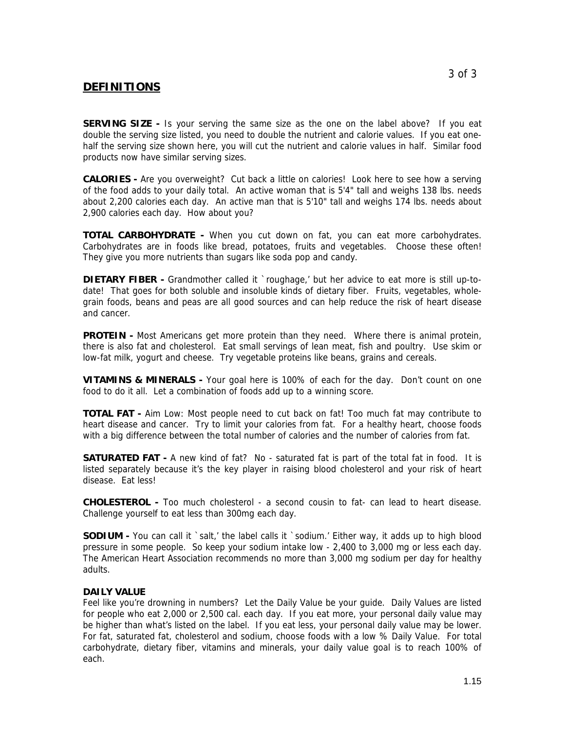#### **DEFINITIONS**

**SERVING SIZE -** Is your serving the same size as the one on the label above? If you eat double the serving size listed, you need to double the nutrient and calorie values. If you eat onehalf the serving size shown here, you will cut the nutrient and calorie values in half. Similar food products now have similar serving sizes.

**CALORIES -** Are you overweight? Cut back a little on calories! Look here to see how a serving of the food adds to your daily total. An active woman that is 5'4" tall and weighs 138 lbs. needs about 2,200 calories each day. An active man that is 5'10" tall and weighs 174 lbs. needs about 2,900 calories each day. How about you?

**TOTAL CARBOHYDRATE -** When you cut down on fat, you can eat more carbohydrates. Carbohydrates are in foods like bread, potatoes, fruits and vegetables. Choose these often! They give you more nutrients than sugars like soda pop and candy.

**DIETARY FIBER -** Grandmother called it `roughage,' but her advice to eat more is still up-todate! That goes for both soluble and insoluble kinds of dietary fiber. Fruits, vegetables, wholegrain foods, beans and peas are all good sources and can help reduce the risk of heart disease and cancer.

**PROTEIN -** Most Americans get more protein than they need. Where there is animal protein, there is also fat and cholesterol. Eat small servings of lean meat, fish and poultry. Use skim or low-fat milk, yogurt and cheese. Try vegetable proteins like beans, grains and cereals.

**VITAMINS & MINERALS -** Your goal here is 100% of each for the day. Don't count on one food to do it all. Let a combination of foods add up to a winning score.

**TOTAL FAT -** Aim Low: Most people need to cut back on fat! Too much fat may contribute to heart disease and cancer. Try to limit your calories from fat. For a healthy heart, choose foods with a big difference between the total number of calories and the number of calories from fat.

**SATURATED FAT -** A new kind of fat? No - saturated fat is part of the total fat in food. It is listed separately because it's the key player in raising blood cholesterol and your risk of heart disease. Eat less!

**CHOLESTEROL -** Too much cholesterol - a second cousin to fat- can lead to heart disease. Challenge yourself to eat less than 300mg each day.

**SODIUM** - You can call it `salt,' the label calls it `sodium.' Either way, it adds up to high blood pressure in some people. So keep your sodium intake low - 2,400 to 3,000 mg or less each day. The American Heart Association recommends no more than 3,000 mg sodium per day for healthy adults.

#### **DAILY VALUE**

Feel like you're drowning in numbers? Let the Daily Value be your guide. Daily Values are listed for people who eat 2,000 or 2,500 cal. each day. If you eat more, your personal daily value may be higher than what's listed on the label. If you eat less, your personal daily value may be lower. For fat, saturated fat, cholesterol and sodium, choose foods with a low % Daily Value. For total carbohydrate, dietary fiber, vitamins and minerals, your daily value goal is to reach 100% of each.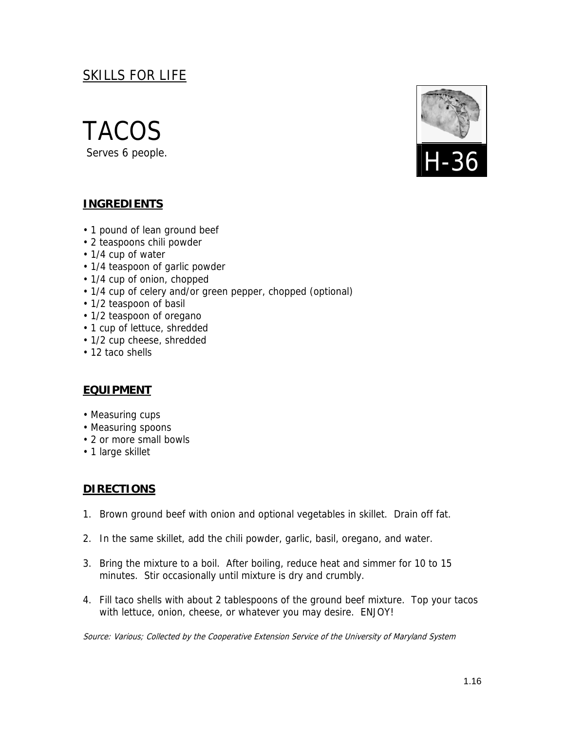# TACOS

Serves 6 people.



#### **INGREDIENTS**

- 1 pound of lean ground beef
- 2 teaspoons chili powder
- 1/4 cup of water
- 1/4 teaspoon of garlic powder
- 1/4 cup of onion, chopped
- 1/4 cup of celery and/or green pepper, chopped (optional)
- 1/2 teaspoon of basil
- 1/2 teaspoon of oregano
- 1 cup of lettuce, shredded
- 1/2 cup cheese, shredded
- 12 taco shells

#### **EQUIPMENT**

- Measuring cups
- Measuring spoons
- 2 or more small bowls
- 1 large skillet

#### **DIRECTIONS**

- 1. Brown ground beef with onion and optional vegetables in skillet. Drain off fat.
- 2. In the same skillet, add the chili powder, garlic, basil, oregano, and water.
- 3. Bring the mixture to a boil. After boiling, reduce heat and simmer for 10 to 15 minutes. Stir occasionally until mixture is dry and crumbly.
- 4. Fill taco shells with about 2 tablespoons of the ground beef mixture. Top your tacos with lettuce, onion, cheese, or whatever you may desire. ENJOY!

Source: Various; Collected by the Cooperative Extension Service of the University of Maryland System